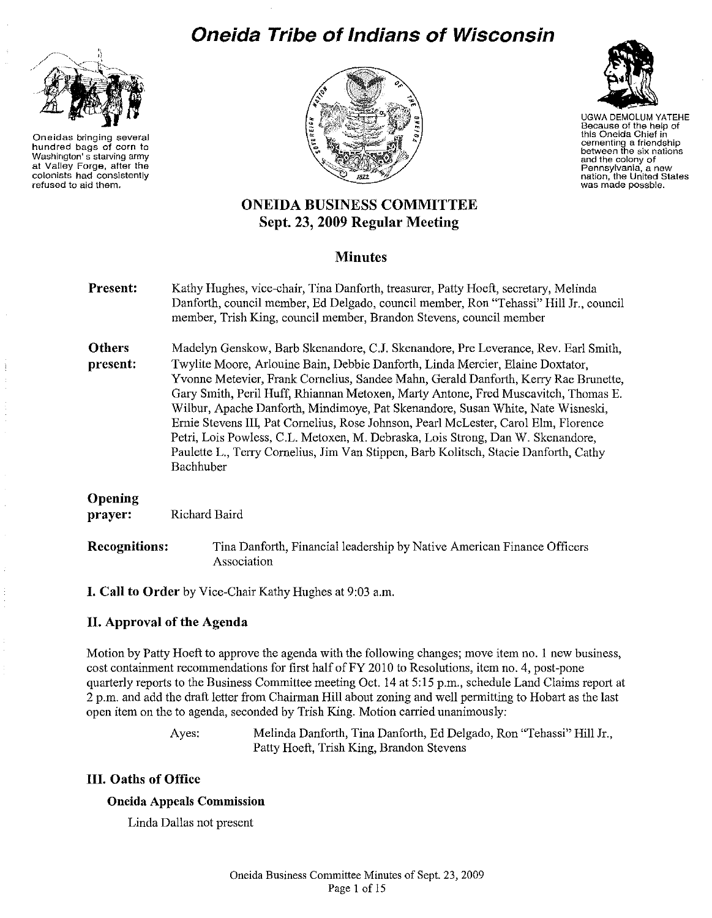# **Oneida Tribe of Indians of Wisconsin**



Oneidas bringing several hundred bags of corn to Washington's starving army at Valley Forge, after the colonists had consistently refused to aid them.





UGWA DEMOLUM YATEHE Because of the help of this Oneida Chief in cementing a friendship between the six nations and the colony of Pennsylvania, a new<br>nation, the United States was made possble.

# ONEIDA BUSINESS COMMITTEE Sept. 23, 2009 Regular Meeting

# **Minutes**

| Present:                  | Kathy Hughes, vice-chair, Tina Danforth, treasurer, Patty Hoeft, secretary, Melinda<br>Danforth, council member, Ed Delgado, council member, Ron "Tehassi" Hill Jr., council<br>member, Trish King, council member, Brandon Stevens, council member                                                                                                                                                                                                                                                                                                                                                                                                                                                                 |  |  |
|---------------------------|---------------------------------------------------------------------------------------------------------------------------------------------------------------------------------------------------------------------------------------------------------------------------------------------------------------------------------------------------------------------------------------------------------------------------------------------------------------------------------------------------------------------------------------------------------------------------------------------------------------------------------------------------------------------------------------------------------------------|--|--|
| <b>Others</b><br>present: | Madelyn Genskow, Barb Skenandore, C.J. Skenandore, Pre Leverance, Rev. Earl Smith,<br>Twylite Moore, Arlouine Bain, Debbie Danforth, Linda Mercier, Elaine Doxtator,<br>Yvonne Metevier, Frank Cornelius, Sandee Mahn, Gerald Danforth, Kerry Rae Brunette,<br>Gary Smith, Peril Huff, Rhiannan Metoxen, Marty Antone, Fred Muscavitch, Thomas E.<br>Wilbur, Apache Danforth, Mindimoye, Pat Skenandore, Susan White, Nate Wisneski,<br>Ernie Stevens III, Pat Cornelius, Rose Johnson, Pearl McLester, Carol Elm, Florence<br>Petri, Lois Powless, C.L. Metoxen, M. Debraska, Lois Strong, Dan W. Skenandore,<br>Paulette L., Terry Cornelius, Jim Van Stippen, Barb Kolitsch, Stacie Danforth, Cathy<br>Bachhuber |  |  |
| Opening<br>prayer:        | Richard Baird                                                                                                                                                                                                                                                                                                                                                                                                                                                                                                                                                                                                                                                                                                       |  |  |
| <b>Recognitions:</b>      | Tina Danforth, Financial leadership by Native American Finance Officers<br>Association                                                                                                                                                                                                                                                                                                                                                                                                                                                                                                                                                                                                                              |  |  |

I. Call to Order by Vice-Chair Kathy Hughes at 9:03 a.m.

# II. Approval of the Agenda

Motion by Patty Hoeft to approve the agenda with the following changes; move item no. 1 new business, cost containment recommendations for first half of FY 2010 to Resolutions, item no. 4, post-pone quarterly reports to the Business Committee meeting Oct. 14 at 5:15 p.m., schedule Land Claims report at 2 p.m. and add the draft letter from Chairman Hill about zoning and well permitting to Hobart as the last open item on the to agenda, seconded by Trish King. Motion carried unanimously:

> Ayes: Melinda Danforth, Tina Danforth, Ed Delgado, Ron "Tehassi" Hill Jr., Patty Hoeft, Trish King, Brandon Stevens

# III. Oaths of Office

# Oneida Appeals Commission

Linda Dallas not present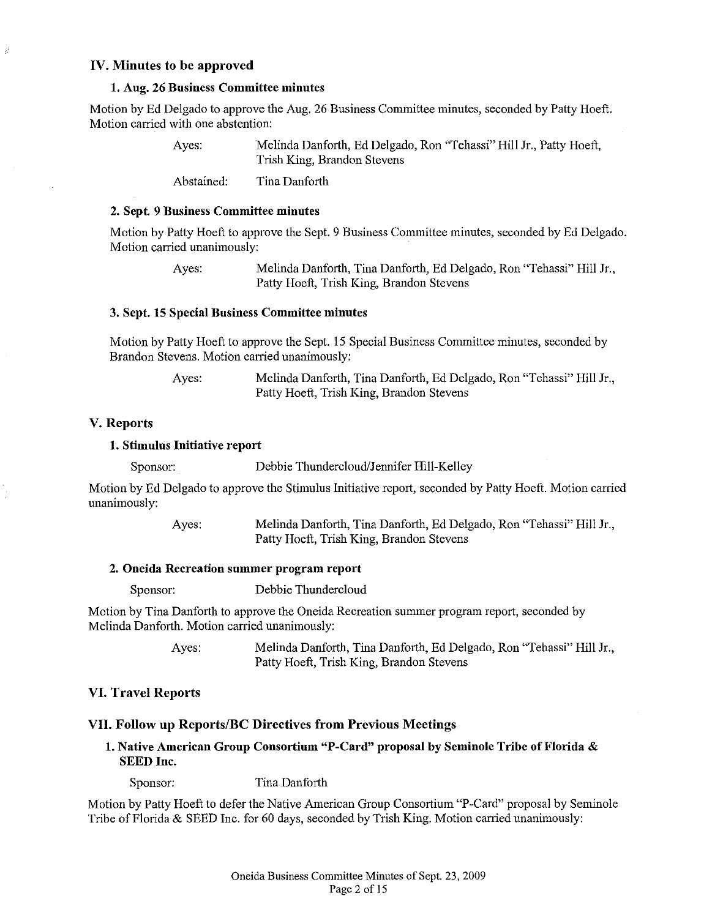# IV. Minutes to be approved

ś

#### 1. Aug. 26 Business Committee minutes

Motion by Ed Delgado to approve the Aug. 26 Business Committee minutes, seconded by Patty Hoeft. Motion carried with one abstention:

| Ayes:      | Melinda Danforth, Ed Delgado, Ron "Tehassi" Hill Jr., Patty Hoeft,<br>Trish King, Brandon Stevens |
|------------|---------------------------------------------------------------------------------------------------|
| Abstained: | Tina Danforth                                                                                     |

#### 2. Sept. 9 Business Committee minutes

Motion by Patty Hoeft to approve the Sept. 9 Business Committee minutes, seconded by Ed Delgado. Motion carried unanimously:

> Ayes: Melinda Danforth, Tina Danforth, Ed Delgado, Ron "Tehassi" Hill Jr., Patty Hoeft, Trish King, Brandon Stevens

# 3. Sept. 15 Special Business Committee minutes

Motion by Patty Hoeft to approve the Sept. 15 Special Business Committee minutes, seconded by Brandon Stevens. Motion carried unanimously:

| Ayes: | Melinda Danforth, Tina Danforth, Ed Delgado, Ron "Tehassi" Hill Jr., |
|-------|----------------------------------------------------------------------|
|       | Patty Hoeft, Trish King, Brandon Stevens                             |

# V. Reports

# 1. Stimulus Initiative report

Sponsor: Debbie Thundercloud/Jennifer Hill-Kelley

Motion by Ed Delgado to approve the Stimulus Initiative report, seconded by Patty Hoeft. Motion carried unanimously:

> Ayes: Melinda Danforth, Tina Danforth, Ed Delgado, Ron "Tehassi" Hill Jr., Patty Hoeft, Trish King, Brandon Stevens

# 2. Oneida Recreation summer program report

Sponsor: Debbie Thundercloud

Motion by Tina Danforth to approve the Oneida Recreation summer program report, seconded by Melinda Danforth. Motion carried unanimously:

> Ayes: Melinda Danforth, Tina Danforth, Ed Delgado, Ron "Tehassi" Hill Jr., Patty Hoeft, Trish King, Brandon Stevens

# VI. Travel Reports

## VII. Follow up Reports/BC Directives from Previous Meetings

1. Native American Group Consortium "P-Card" proposal by Seminole Tribe of Florida & SEED Inc.

Sponsor: Tina Danforth

Motion by Patty Hoeft to defer the Native American Group Consortium "P-Card" proposal by Seminole Tribe of Florida & SEED Inc. for 60 days, seconded by Trish King. Motion carried unanimously: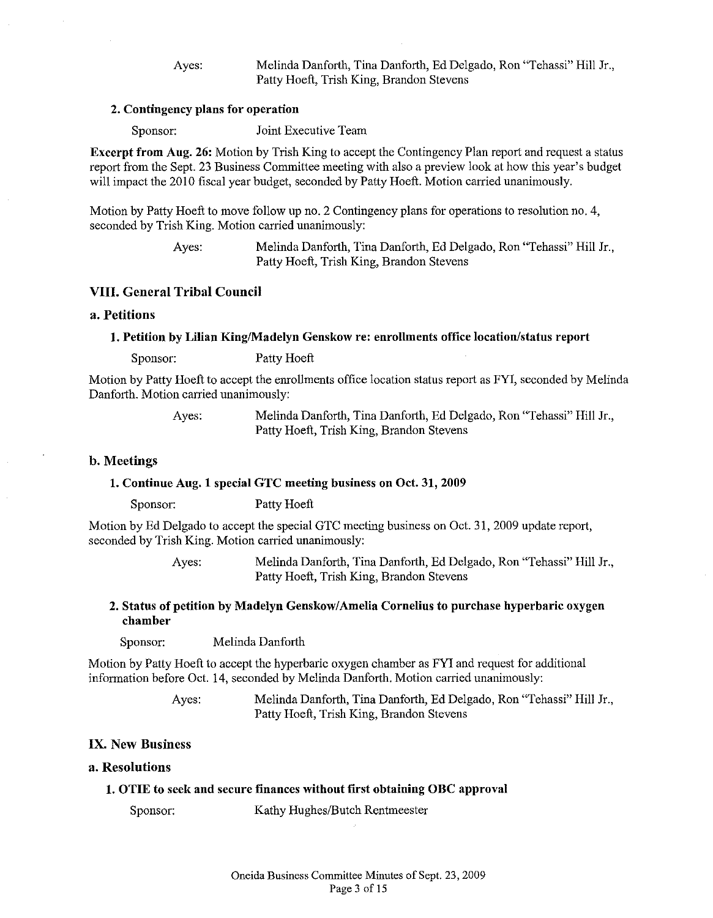Ayes: Melinda Danforth, Tina Danforth, Ed Delgado, Ron "Tehassi" Hill Jr., Patty Hoeft, Trish King, Brandon Stevens

#### 2. Contingency plans for operation

Sponsor: Joint Executive Team

Excerpt from Aug. 26: Motion by Trish King to accept the Contingency Plan report and request a status report from the Sept. 23 Business Committee meeting with also a preview look at how this year's budget will impact the 2010 fiscal year budget, seconded by Patty Hoeft. Motion carried unanimously.

Motion by Patty Hoeft to move follow up no. 2 Contingency plans for operations to resolution no. 4, seconded by Trish King. Motion carried unanimously:

> Ayes: Melinda Danforth, Tina Danforth, Ed Delgado, Ron "Tehassi" Hill Jr., Patty Hoeft, Trish King, Brandon Stevens

# VIII. General Tribal Council

## a. Petitions

#### 1. Petition by Lilian King/Madelyn Genskow re: enrollments office location/status report

Sponsor: Patty Hoeft

Motion by Patty Hoeft to accept the enrollments office location status report as FYI, seconded by Melinda Danforth. Motion carried unanimously:

> Ayes: Melinda Danforth, Tina Danforth, Ed Delgado, Ron "Tehassi" Hill Jr., Patty Hoeft, Trish King, Brandon Stevens

#### b. Meetings

#### 1. Continue Aug. 1 special GTC meeting business on Oct. 31, 2009

Sponsor: Patty Hoeft

Motion by Ed Delgado to accept the special GTC meeting business on Oct. 31, 2009 update report, seconded by Trish King. Motion carried unanimously:

> Ayes: Melinda Danforth, Tina Danforth, Ed Delgado, Ron "Tehassi" Hill Jr., Patty Hoeft, Trish King, Brandon Stevens

# 2. Status of petition by Madelyn Genskow/Amelia Cornelius to purchase hyperbaric oxygen chamber

Sponsor: Melinda Danforth

Motion by Patty Hoeft to accept the hyperbaric oxygen chamber as FYI and request for additional information before Oct. 14, seconded by Melinda Danforth. Motion carried unanimously:

> Ayes: Melinda Danforth, Tina Danforth, Ed Delgado, Ron "Tehassi" Hill Jr., Patty Hoeft, Trish King, Brandon Stevens

## IX. New Business

#### a. Resolutions

#### 1. OTIE to seek and secure finances without first obtaining OBC approval

Sponsor: Kathy Hughes/Butch Rentmeester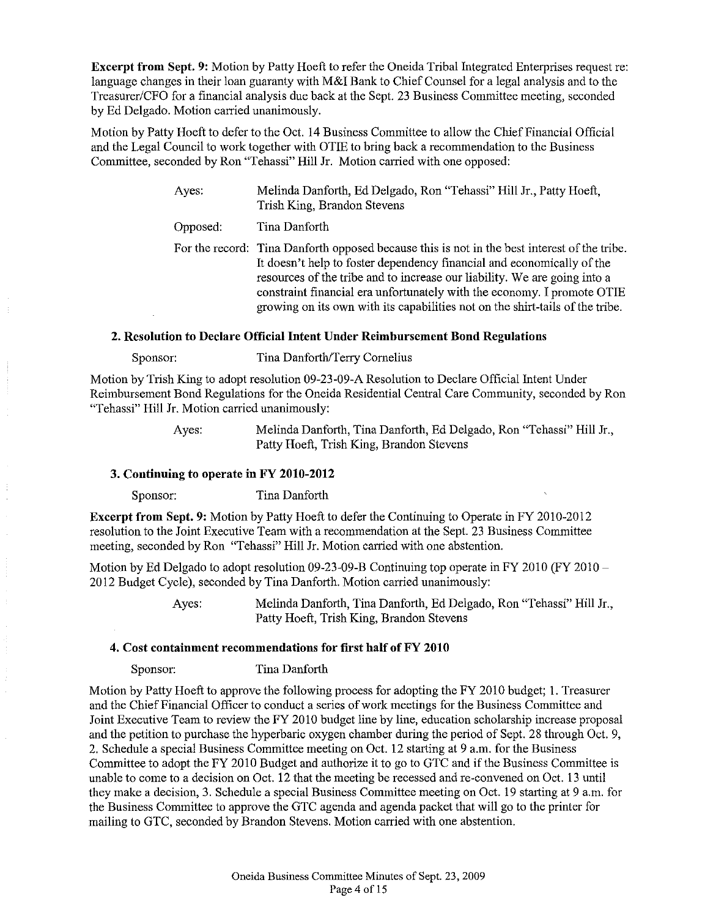Excerpt from Sept. 9: Motion by Patty Hoeft to refer the Oneida Tribal Integrated Enterprises request re: language changes in their loan guaranty with M&I Bank to Chief Counsel for a legal analysis and to the Treasurer/CFO for a financial analysis due back at the Sept. 23 Business Committee meeting, seconded by Ed Delgado. Motion carried unanimously.

Motion by Patty Hoeft to defer to the Oct. 14 Business Committee to allow the Chief Financial Official and the Legal Council to work together with OTIE to bring back a recommendation to the Business Committee, seconded by Ron "Tehassi" Hill Jr. Motion carried with one opposed:

> Ayes: Melinda Danforth, Ed Delgado, Ron "Tehassi" Hill Jr., Patty Hoeft, Trish King, Brandon Stevens

Opposed: Tina Danforth

For the record: Tina Danforth opposed because this is not in the best interest of the tribe. It doesn't help to foster dependency financial and economically of the resources of the tribe and to increase our liability. We are going into a constraint financial era unfortunately with the economy. I promote OTIE growing on its own with its capabilities not on the shirt-tails of the tribe.

#### 2. Resolution to Declare Official Intent Under Reimbursement Bond Regulations

Sponsor: Tina Danforth/Terry Cornelius

Motion by Trish King to adopt resolution 09-23-09-A Resolution to Declare Official Intent Under Reimbursement Bond Regulations for the Oneida Residential Central Care Community, seconded by Ron "Tehassi" Hill Jr. Motion carried unanimously:

Ayes: Melinda Danforth, Tina Danforth, Ed Delgado, Ron "Tehassi" Hill Jr., Patty Hoeft, Trish King, Brandon Stevens

# 3. Contiuuing to operate in FY 2010-2012

Sponsor: Tina Danforth

Excerpt from Sept. 9: Motion by Patty Hoeft to defer the Continuing to Operate in FY 2010-2012 resolution to the Joint Executive Team with a recommendation at the Sept. 23 Business Committee meeting, seconded by Ron "Tehassi" Hill Jr. Motion carried with one abstention.

Motion by Ed Delgado to adopt resolution 09-23-09-B Continuing top operate in FY 2010 (FY 2010- 2012 Budget Cycle), seconded by Tina Danforth. Motion carried unanimously:

> Ayes: Melinda Danforth, Tina Danforth, Ed Delgado, Ron "Tehassi" Hill Jr., Patty Hoeft, Trish King, Brandon Stevens

## 4. Cost containment recommendations for first half of FY 2010

Sponsor: Tina Danforth

Motion by Patty Hoeft to approve the following process for adopting the FY 2010 budget; 1. Treasurer and the Chief Financial Officer to conduct a series ofwork meetings for the Business Committee and Joint Executive Team to review the FY 2010 budget line by line, education scholarship increase proposal and the petition to purchase the hyperbaric oxygen chamber during the period of Sept. 28 through Oct. 9, 2. Schedule a special Business Committee meeting on Oct. 12 starting at 9 a.m. for the Business Committee to adopt the FY 2010 Budget and authorize it to go to GTC and if the Business Committee is unable to come to a decision on Oct. 12 that the meeting be recessed and re-convened on Oct. 13 until they make a decision, 3. Schedule a special Business Committee meeting on Oct. 19 starting at 9 a.m. for the Business Committee to approve the GTC agenda and agenda packet that will go to the printer for mailing to GTC, seconded by Brandon Stevens. Motion carried with one abstention.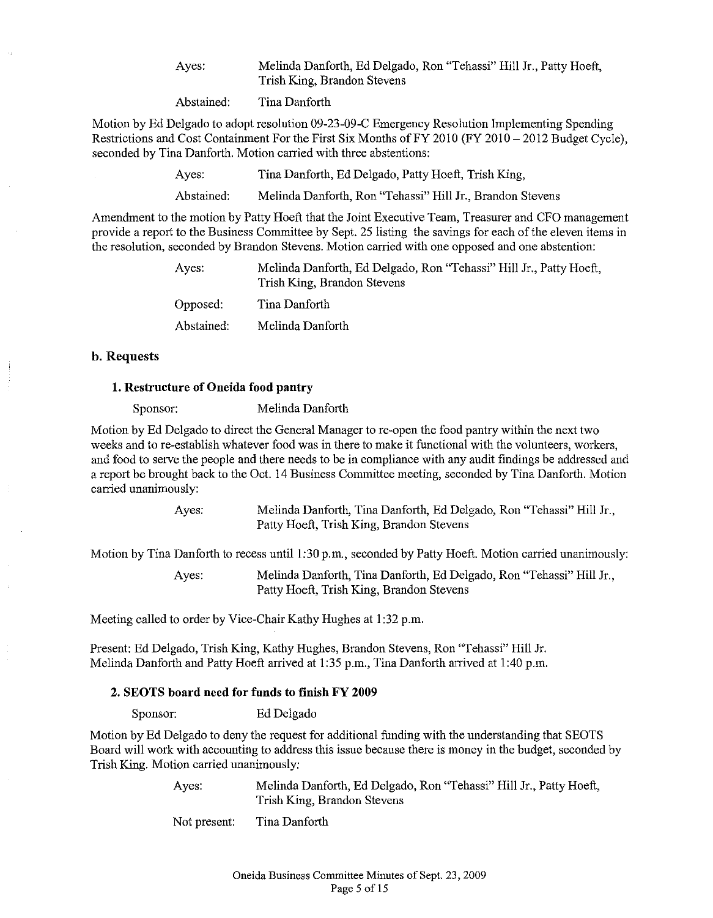Ayes: Melinda Danforth, Ed Delgado, Ron "Tehassi" Hill Jr., Patty Hoeft, Trish King, Brandon Stevens

Abstained: Tina Danforth

Motion by Ed Delgado to adopt resolution 09-23-09-C Emergency Resolution Implementing Spending Restrictions and Cost Containment For the First Six Months of FY 2010 (FY 2010 - 2012 Budget Cycle), seconded by Tina Danforth. Motion carried with three abstentions:

> Ayes: Tina Danforth, Ed Delgado, Patty Hoeft, Trish King,

Abstained: Melinda Danforth, Ron "Tehassi" Hill Jr., Brandon Stevens

Amendment to the motion by Patty Hoeft that the Joint Executive Team, Treasurer and CFO management provide a report to the Business Committee by Sept. 25 listing the savings for each ofthe eleven items in the resolution, seconded by Brandon Stevens. Motion carried with one opposed and one abstention:

| Ayes:      | Melinda Danforth, Ed Delgado, Ron "Tehassi" Hill Jr., Patty Hoeft,<br>Trish King, Brandon Stevens |  |
|------------|---------------------------------------------------------------------------------------------------|--|
| Opposed:   | Tina Danforth                                                                                     |  |
| Abstained: | Melinda Danforth                                                                                  |  |

# b. Requests

# 1. Restructure of Oneida food pautry

Sponsor: Melinda Danforth

Motion by Ed Delgado to direct the General Manager to re-open the food pantry within the next two weeks and to re-establish whatever food was in there to make it functional with the volunteers, workers, and food to serve the people and there needs to be in compliance with any audit findings be addressed and a report be brought back to the Oct. 14 Business Committee meeting, seconded by Tina Danforth. Motion carried unanimously:

> Ayes: Melinda Danforth, Tina Danforth, Ed Delgado, Ron "Tehassi" Hill Jr., Patty Hoeft, Trish King, Brandon Stevens

Motion by Tina Danforth to recess until 1:30 p.m., seconded by Patty Hoeft. Motion carried unanimously:

Ayes: Melinda Danforth, Tina Danforth, Ed Delgado, Ron "Tehassi" Hill Jr., Patty Hoeft, Trish King, Brandon Stevens

Meeting called to order by Vice-Chair Kathy Hughes at 1:32 p.m.

Present: Ed Delgado, Trish King, Kathy Hughes, Brandon Stevens, Ron "Tehassi" Hill Jr. Melinda Danforth and Patty Hoeft arrived at 1:35 p.m., Tina Danforth arrived at 1:40 p.m.

#### 2. SEOTS board need for funds to finish FY 2009

Sponsor: Ed Delgado

Motion by Ed Delgado to deny the request for additional funding with the understanding that SEOTS Board will work with accounting to address this issue because there is money in the budget, seconded by Trish King. Motion carried unanimously:

> Ayes: Melinda Danforth, Ed Delgado, Ron "Tehassi" Hill Jr., Patty Hoeft, Trish King, Brandon Stevens

Not present: Tina Danforth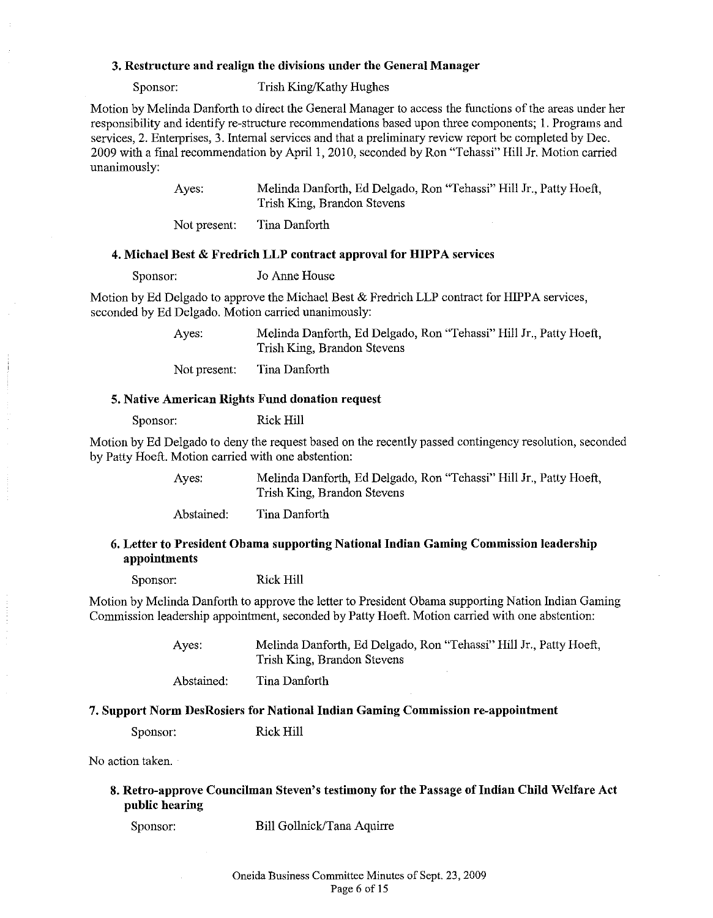# 3. Restructure and realign the divisions under the General Manager

Sponsor: Trish King/Kathy Hughes

Motion by Melinda Danforth to direct the General Manager to access the functions of the areas under her responsibility and identify re-structure recommendations based upon three components; I. Programs and services, 2. Enterprises, 3. Internal services and that a preliminary review report be completed by Dec. 2009 with a final recommendation by April I, 2010, seconded by Ron "Tehassi" Hill Jr. Motion carried unanimously:

> Ayes: Melinda Danforth, Ed Delgado, Ron "Tehassi" Hill Jr., Patty Hoeft, Trish King, Brandon Stevens

Not present: Tina Danforth

#### 4. Michael Best & Fredrich LLP contract approval for HIPPA services

Sponsor: Jo Anne House

Motion by Ed Delgado to approve the Michael Best & Fredrich LLP contract for HIPPA services, seconded by Ed Delgado. Motion carried unanimously:

> Ayes: Melinda Danforth, Ed Delgado, Ron "Tehassi" Hill Jr., Patty Hoeft, Trish King, Brandon Stevens

Not present: Tina Danforth

# 5. Native American Rights Fund donation request

Sponsor: Rick Hill

Motion by Ed Delgado to deny the request based on the recently passed contingency resolution, seconded by Patty Hoeft. Motion carried with one abstention:

> Ayes: Melinda Danforth, Ed Delgado, Ron "Tehassi" Hill Jr., Patty Hoeft, Trish King, Brandon Stevens

Abstained: Tina Danforth

# 6. Letter to President Obama supporting National Indian Gaming Commission leadership appointments

Sponsor: Rick Hill

Motion by Melinda Danforth to approve the letter to President Obama supporting Nation Indian Gaming Commission leadership appointment, seconded by Patty Hoeft. Motion carried with one abstention:

> Ayes: Melinda Danforth, Ed Delgado, Ron "Tehassi" Hill Jr., Patly Hoeft, Trish King, Brandon Stevens

Abstained: Tina Danforth

#### 7. Support Norm DesRosiers for National Indian Gaming Commission re-appointment

Sponsor: Rick Hill

No action taken.

# 8. Retro-approve Councilman Steven's testimony for the Passage of Indian Child Welfare Act public hearing

Sponsor: Bill Gollnick/Tana Aquirre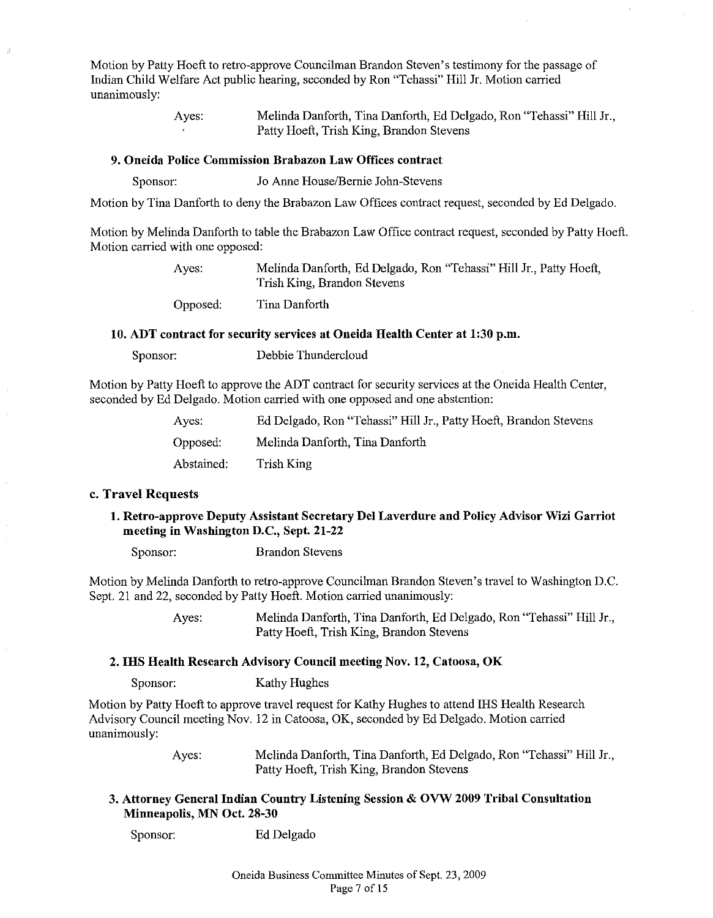Motion by Patty Hoeft to retro-approve Councilman Brandon Steven's testimony for the passage of Indian Child Welfare Act public hearing, seconded by Ron "Tehassi" Hill Jr. Motion carried unanimously:

> Ayes: Melinda Danforth, Tina Danforth, Ed Delgado, Ron "Tehassi" Hill Jr., Patty Hoeft, Trish King, Brandon Stevens

# 9. Oneida Police Commission Brabazon Law Offices contract

Sponsor: Jo Anne House/Bernie John-Stevens

Motion by Tina Danforth to deny the Brabazon Law Offices contract request, seconded by Ed Delgado.

Motion by Melinda Danforth to table the Brabazon Law Office contract request, seconded by Patty Hoeft. Motion carried with one opposed:

> Ayes: Melinda Danforth, Ed Delgado, Ron "Tehassi" Hill Jr., Patty Hoeft, Trish King, Brandon Stevens

Opposed: Tina Danforth

#### 10. ADT contract for secnrity services at Oneida Health Center at 1:30 p.m.

Sponsor: Debbie Thundercloud

Motion by Patty Hoeft to approve the ADT contract for security services at the Oneida Health Center, seconded by Ed Delgado. Motion carried with one opposed and one abstention:

| Ayes:      | Ed Delgado, Ron "Tehassi" Hill Jr., Patty Hoeft, Brandon Stevens |
|------------|------------------------------------------------------------------|
| Opposed:   | Melinda Danforth, Tina Danforth                                  |
| Abstained: | Trish King                                                       |

#### c. Travel Requests

1. Retro-approve Deputy Assistant Secretary Del Laverdure and Policy Advisor Wizi Garriot meeting in Washington D.C., Sept. 21-22

Sponsor: Brandon Stevens

Motion by Melinda Danforth to retro-approve Councihnan Brandon Steven's travel to Washington D.C. Sept. 21 and 22, seconded by Patty Hoeft. Motion carried unanimously:

> Ayes: Melinda Danforth, Tina Danforth, Ed Delgado, Ron "Tehassi" Hill Jr., Patty Hoeft, Trish King, Brandon Stevens

#### 2. IHS Health Research Advisory Council meeting Nov. 12, Catoosa, OK

Sponsor: Kathy Hughes

Motion by Patty Hoeft to approve travel request for Kathy Hughes to attend IHS Health Research Advisory Council meeting Nov. 12 in Catoosa, OK, seconded by Ed Delgado. Motion carried unanimously:

> Ayes: Melinda Danforth, Tina Danforth, Ed Delgado, Ron "Tehassi" Hill Jr., Patty Hoeft, Trish King, Brandon Stevens

3. Attorney General Indian Country Listening Session & OVW 2009 Tribal Consultation Minneapolis, MN Oct. 28-30

Sponsor: Ed Delgado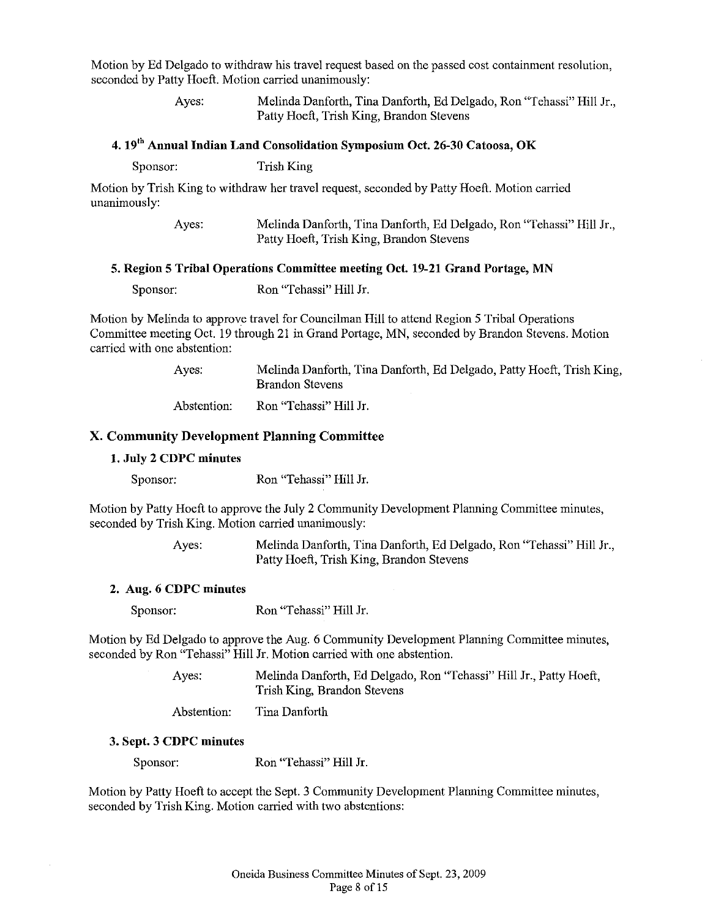Motion by Ed Delgado to withdraw his travel request based on the passed cost containment resolution, seconded by Patty Hoeft. Motion carried unanimously:

> Ayes: Melinda Danforth, Tina Danforth, Ed Delgado, Ron "Tehassi" Hill Jr., Patty Hoeft, Trish King, Brandon Stevens

# 4. 19<sup>th</sup> Annual Indian Land Consolidation Symposium Oct. 26-30 Catoosa, OK

Sponsor: Trish King

Motion by Trish King to withdraw her travel request, seconded by Patty Hoeft. Motion carried unanimously:

| Ayes: | Melinda Danforth, Tina Danforth, Ed Delgado, Ron "Tehassi" Hill Jr., |
|-------|----------------------------------------------------------------------|
|       | Patty Hoeft, Trish King, Brandon Stevens                             |

#### 5. Region 5 Tribal Operations Committee meeting Oct. 19-21 Grand Portage, MN

Motion by Melinda to approve travel for Councilman Hill to attend Region 5 Tribal Operations Committee meeting Oct. 19 through 21 in Grand Portage, MN, seconded by Brandon Stevens. Motion carried with one abstention:

> Ayes: Melinda Danforth, Tina Danforth, Ed Delgado, Patty Hoeft, Trish King, Brandon Stevens

Abstention: Ron "Tehassi" Hill Jr.

# X. Community Development Planning Committee

# 1. July 2 CDPC minutes

Sponsor: Ron "Tehassi" Hill Jr.

Motion by Patty Hoeft to approve the July 2 Community Development Planning Committee minutes, seconded by Trish King. Motion carried unanimously:

> Ayes: Melinda Danforth, Tina Danforth, Ed Delgado, Ron "Tehassi" Hill Jr., Patty Hoeft, Trish King, Brandon Stevens

#### 2. Aug. 6 CDPC minutes

Sponsor: Ron "Tehassi" Hill Jr.

Motion by Ed Delgado to approve the Aug. 6 Community Development Planning Committee minutes, seconded by Ron "Tehassi" Hill Jr. Motion carried with one abstention.

> Ayes: Melinda Danforth, Ed Delgado, Ron "Tehassi" Hill Jr., Patty Hoeft, Trish King, Brandon Stevens

Abstention: Tina Danforth

#### 3. Sept. 3 CDPC minutes

Sponsor: Ron "Tehassi" Hill Jr.

Motion by Patty Hoeft to accept the Sept. 3 Community Development Planning Committee minutes, seconded by Trish King. Motion carried with two abstentions: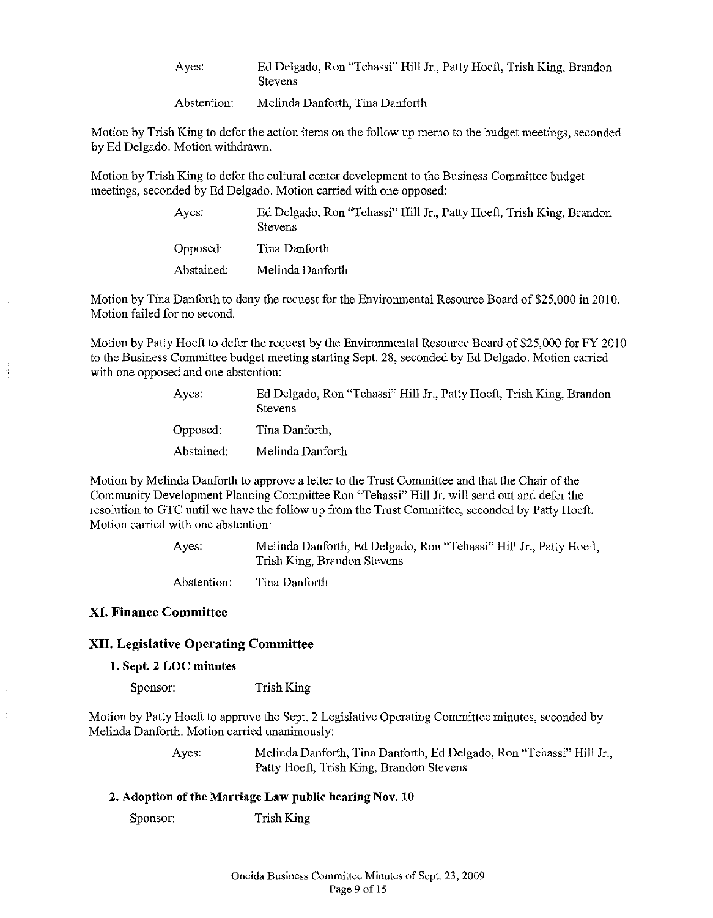Ayes: Ed Delgado, Ron "Tehassi" Hill Jr., Patty Hoeft, Trish King, Brandon **Stevens** 

Abstention: Melinda Danforth, Tina Danforth

Motion by Trish King to defer the action items on the follow up memo to the budget meetings, seconded by Ed Delgado. Motion withdrawn.

Motion by Trish King to defer the cultural center development to the Business Committee budget meetings, seconded by Ed Delgado. Motion carried with one opposed:

| Ayes:      | Ed Delgado, Ron "Tehassi" Hill Jr., Patty Hoeft, Trish King, Brandon<br><b>Stevens</b> |
|------------|----------------------------------------------------------------------------------------|
| Opposed:   | Tina Danforth                                                                          |
| Abstained: | Melinda Danforth                                                                       |

Motion by Tina Danforth to deny the request for the Environmental Resource Board of \$25,000 in 2010. Motion failed for no second.

Motion by Patty Hoeft to defer the request by the Environmental Resource Board of \$25,000 for FY 2010 to the Business Committee budget meeting starting Sept. 28, seconded by Ed Delgado. Motion carried with one opposed and one abstention:

| Aves:      | Ed Delgado, Ron "Tehassi" Hill Jr., Patty Hoeft, Trish King, Brandon<br>Stevens |
|------------|---------------------------------------------------------------------------------|
| Opposed:   | Tina Danforth,                                                                  |
| Abstained: | Melinda Danforth                                                                |

Motion by Melinda Danforth to approve a letter to the Trust Committee and that the Chair of the Community Development Planning Committee Ron "Tehassi" Hill Jr. will send out and defer the resolution to GTC until we have the follow up from the Trust Committee, seconded by Patty Hoeft. Motion carried with one abstention:

> Ayes: Melinda Danforth, Ed Delgado, Ron "Tehassi" Hill Jr., Patty Hoeft, Trish King, Brandon Stevens

Abstention: Tina Danforth

# XI. Finance Committee

# XII. Legislative Operating Committee

1. Sept. 2 LOC minutes

Sponsor: Trish King

Motion by Patty Hoeft to approve the Sept. 2 Legislative Operating Committee minutes, seconded by Melinda Danforth. Motion carried unanimously:

> Ayes: Melinda Danforth, Tina Danforth, Ed Delgado, Ron "Tehassi" Hill Jr., Patty Hoeft, Trish King, Brandon Stevens

#### 2. Adoption of the Marriage Law public hearing Nov. 10

Sponsor: Trish King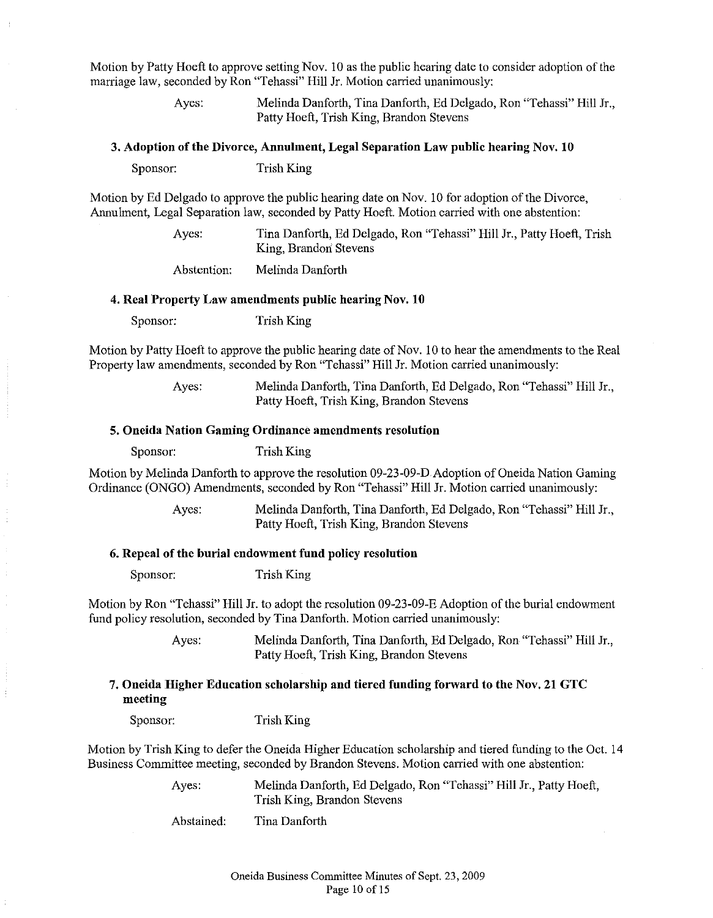Motion by Patty Hoeft to approve setting Nov. 10 as the public hearing date to consider adoption of the marriage law, seconded by Ron "Tehassi" Hill Jr. Motion carried unanimously:

> Ayes: Melinda Danforth, Tina Danforth, Ed Delgado, Ron "Tehassi" Hill Jr., Patty Hoeft, Trish King, Brandon Stevens

#### 3. Adoption of the Divorce, Annulment, Legal Separation Law public hearing Nov. 10

Sponsor: Trish King

Motion by Ed Delgado to approve the public hearing date on Nov. 10 for adoption ofthe Divorce, Annulment, Legal Separation law, seconded by Patty Hoeft. Motion carried with one abstention:

> Ayes: Tina Danforth, Ed Delgado, Ron "Tehassi" Hill Jr., Patty Hoeft, Trish King, Brandon Stevens

Abstention: Melinda Danforth

#### 4. Real Property Law amendments public hearing Nov. 10

Sponsor: Trish King

Motion by Patty Hoeft to approve the public hearing date of Nov. 10 to hear the amendments to the Real Property law amendments, seconded by Ron "Tehassi" Hill Jr. Motion carried unanimously:

> Ayes: Melinda Danforth, Tina Danforth, Ed Delgado, Ron "Tehassi" Hill Jr., Patty Hoeft, Trish King, Brandon Stevens

#### 5. Oneida Nation Gaming Ordinance amendments resolution

Sponsor: Trish King

Motion by Melinda Danforth to approve the resolution 09-23-09-D Adoption of Oneida Nation Gaming Ordinance (ONGO) Amendments, seconded by Ron "Tehassi" Hill Jr. Motion carried unanimously:

> Ayes: Melinda Danforth, Tina Danforth, Ed Delgado, Ron "Tehassi" Hill Jr., Patty Hoeft, Trish King, Brandon Stevens

#### 6. Repeal of the burial endowment fund policy resolution

Sponsor: Trish King

Motion by Ron "Tehassi" Hill Jr. to adopt the resolution 09-23-09-E Adoption ofthe burial endowment fund policy resolution, seconded by Tina Danforth. Motion carried unanimously:

> Ayes: Melinda Danforth, Tina Danforth, Ed Delgado, Ron "Tehassi" Hill Jr., Patty Hoeft, Trish King, Brandon Stevens

# 7. Oneida Higher Education scholarship and tiered funding forward to the Nov. 21 GTC meeting

Sponsor: Trish King

Motion by Trish King to defer the Oneida Higher Education scholarship and tiered funding to the Oct. 14 Business Committee meeting, seconded by Brandon Stevens. Motion carried with one abstention:

> Ayes: Melinda Danforth, Ed Delgado, Ron "Tehassi" Hill Jr., Patty Hoeft, Trish King, Brandon Stevens

Abstained: Tina Danforth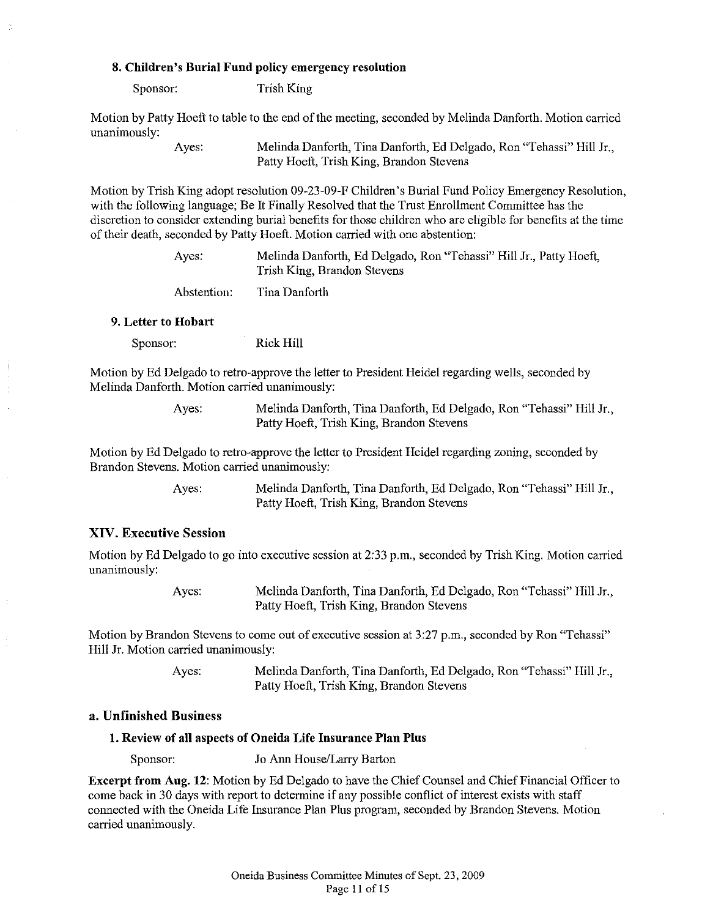#### 8. Children's Burial Fund policy emergency resolution

Sponsor: Trish King

Motion by Patty Hoeft to table to the end of the meeting, seconded by Melinda Danforth. Motion carried unanimously:

> Ayes: Melinda Danforth, Tina Danforth, Ed Delgado, Ron "Tehassi" Hill Jr., Patty Hoeft, Trish King, Brandon Stevens

Motion by Trish King adopt resolution 09-23-09-F Children's Burial Fund Policy Emergency Resolution, with the following language; Be It Finally Resolved that the Trust Enrollment Committee has the discretion to consider extending burial benefits for those children who are eligible for benefits at the time oftheir death, seconded by Patty Hoeft. Motion carried with one abstention:

> Ayes: Melinda Danforth, Ed Delgado, Ron "Tehassi" Hill Jr., Patty Hoeft, Trish King, Brandon Stevens Abstention: Tina Danforth

#### 9. Letter to Hobart

Sponsor: Rick Hill

Motion by Ed Delgado to retro-approve the letter to President Heidel regarding wells, seconded by Melinda Danforth. Motion carried unanimously:

> Ayes: Melinda Danforth, Tina Danforth, Ed Delgado, Ron "Tehassi" Hill Jr., Patty Hoeft, Trish King, Brandon Stevens

Motion by Ed Delgado to retro-approve the letter to President Heidel regarding zoning, seconded by Brandon Stevens. Motion carried unanimously:

> Ayes: Melinda Danforth, Tina Danforth, Ed Delgado, Ron "Tehassi" Hill Jr., Patty Hoeft, Trish King, Brandon Stevens

#### XIV. Executive Session

Motion by Ed Delgado to go into executive session at 2:33 p.m., seconded by Trish King. Motion carried unanimously:

> Ayes: Melinda Danforth, Tina Danforth, Ed Delgado, Ron "Tehassi" Hill Jr., Patty Hoeft, Trish King, Brandon Stevens

Motion by Brandon Stevens to come out of executive session at 3:27 p.m., seconded by Ron "Tehassi" Hill Jr. Motion carried unanimously:

> Ayes: Melinda Danforth, Tina Danforth, Ed Delgado, Ron "Tehassi" Hill Jr., Patty Hoeft, Trish King, Brandon Stevens

### a. Unfinished Business

#### 1. Review of all aspects of Oneida Life Insurance Plan Plus

Sponsor: Jo Ann House/Larry Barton

**Excerpt from Aug. 12:** Motion by Ed Delgado to have the Chief Counsel and Chief Financial Officer to come back in 30 days with report to determine if any possible conflict of interest exists with staff connected with the Oneida Life Insurance Plan Plus program, seconded by Brandon Stevens. Motion carried unanimously.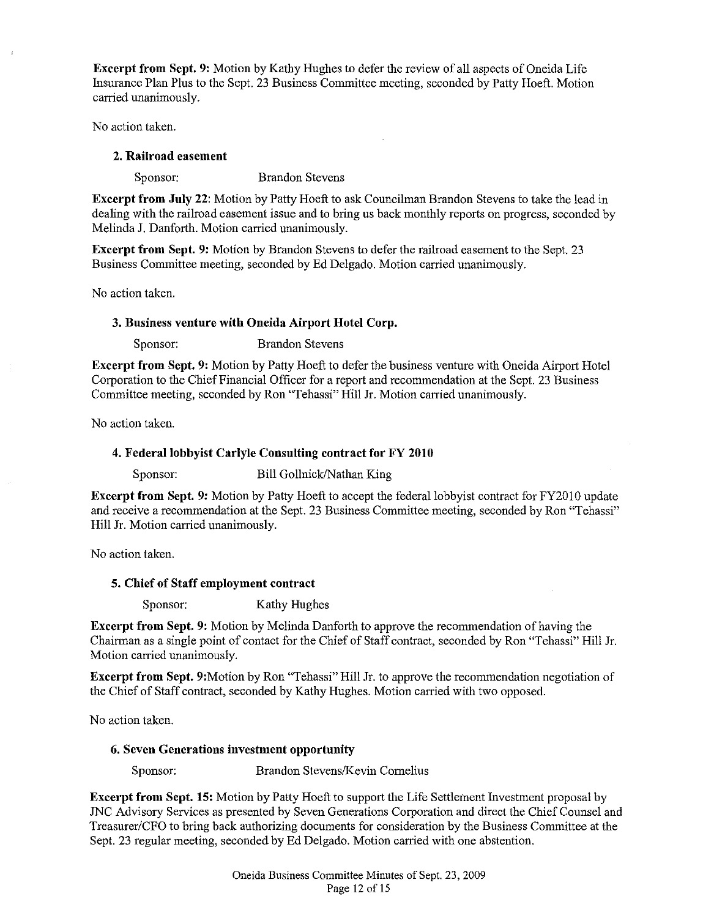Excerpt from Sept. 9: Motion by Kathy Hughes to defer the review of all aspects of Oneida Life Insurance Plan Plus to the Sept. 23 Business Committee meeting, seconded by Patty Hoeft. Motion carried unanimously.

No action taken.

# 2. Railroad easement

Sponsor: Brandon Stevens

Excerpt from July 22: Motion by Patty Hoeft to ask Councihnan Brandon Stevens to take the lead in dealing with the railroad easement issue and to bring us back monthly reports on progress, seconded by Melinda J. Danforth. Motion carried unanimously.

Excerpt from Sept. 9: Motion by Brandon Stevens to defer the railroad easement to the Sept. 23 Business Committee meeting, seconded by Ed Delgado. Motion carried unanimously.

No action taken.

# 3. Business venture with Oneida Airport Hotel Corp.

Sponsor: Brandon Stevens

Excerpt from Sept. 9: Motion by Patty Hoeft to defer the business venture with Oneida Airport Hotel Corporation to the Chief Financial Officer for a report and recommendation at the Sept. 23 Business Committee meeting, seconded by Ron "Tehassi" Hill Jr. Motion carried unanimously.

No action taken.

# 4. Federal lobbyist Carlyle Consulting contract for FY 2010

Sponsor: Bill Gollnick/Nathan King

Excerpt from Sept. 9: Motion by Patty Hoeft to accept the federal lobbyist contract for FY2010 update and receive a recommendation at the Sept. 23 Business Committee meeting, seconded by Ron "Tehassi" Hill Jr. Motion carried unanimously.

No action taken.

# 5. Chief of Staff employment contract

Sponsor: Kathy Hughes

Excerpt from Sept. 9: Motion by Melinda Danforth to approve the recommendation of having the Chairman as a single point of contact for the Chief of Staffcontract, seconded by Ron "Tehassi" Hill Jr. Motion carried unanimously.

Excerpt from Sept. 9:Motion by Ron "Tehassi" Hill Jr. to approve the recommendation negotiation of the Chief of Staff contract, seconded by Kathy Hughes. Motion carried with two opposed.

No action taken.

# 6. Seven Generations investment opportunity

Sponsor: Brandon Stevens/Kevin Cornelius

Excerpt from Sept. 15: Motion by Patty Hoeft to support the Life Settlement Investment proposal by JNC Advisory Services as presented by Seven Generations Corporation and direct the Chief Counsel and Treasurer/CFO to bring back authorizing documents for consideration by the Business Committee at the Sept. 23 regular meeting, seconded by Ed Delgado. Motion carried with one abstention.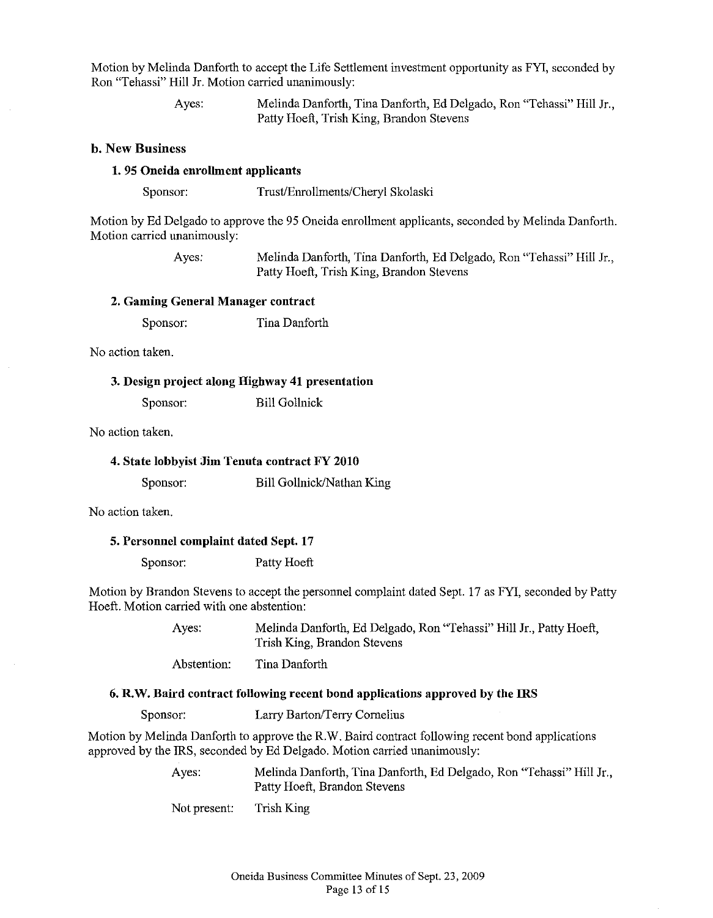Motion by Melinda Danforth to accept the Life Settlement investment opportunity as FYI, seconded by Ron "Tehassi" Hill Jr. Motion carried unanimously:

> Ayes: Melinda Danforth, Tina Danforth, Ed Delgado, Ron "Tehassi" Hill Jr., Patty Hoeft, Trish King, Brandon Stevens

# b. New Business

#### 1. 95 Oneida enrolhnent applicants

Sponsor: Trust/Enrollments/Cheryl Skolaski

Motion by Ed Delgado to approve the 95 Oneida enrollment applicants, seconded by Melinda Danforth. Motion carried unanimously:

> Ayes: Melinda Danforth, Tina Danforth, Ed Delgado, Ron "Tehassi" Hill Jr., Patty Hoeft, Trish King, Brandon Stevens

#### 2. Gaming General Manager contract

Sponsor: Tina Danforth

No action taken.

#### 3. Design project along Highway 41 presentation

Sponsor: Bill Gollnick

No action taken.

|  |  |  |  |  | 4. State lobbyist Jim Tenuta contract FY 2010 |  |
|--|--|--|--|--|-----------------------------------------------|--|
|--|--|--|--|--|-----------------------------------------------|--|

Sponsor: Bill Gollnick/Nathan King

No action taken.

#### 5. Personnel complaint dated Sept. 17

Sponsor: Patty Hoeft

Motion by Brandon Stevens to accept the personnel complaint dated Sept. 17 as FYI, seconded by Patty Hoeft. Motion carried with one abstention:

> Ayes: Abstention: Melinda Danforth, Ed Delgado, Ron "Tehassi" Hill Jr., Patty Hoeft, Trish King, Brandon Stevens Tina Danforth

#### 6. R.W. Baird contract following recent bond applications approved by the IRS

Sponsor: Larry Barton/Terry Cornelius

Motion by Melinda Danforth to approve the R.W. Baird contract following recent bond applications approved by the IRS, seconded by Ed Delgado. Motion carried unanimously:

> Ayes: Melinda Danforth, Tina Danforth, Ed Delgado, Ron "Tehassi" Hill Jr., Patty Hoeft, Brandon Stevens

Not present: Trish King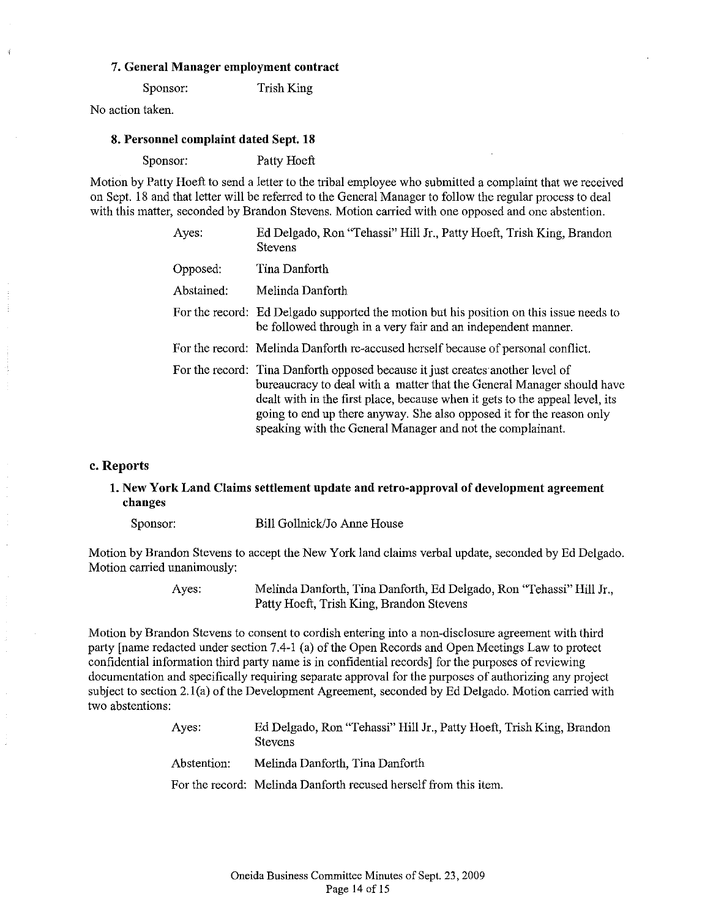## 7. General Manager employment contract

Sponsor: Trish King

No action taken.

#### 8. Personnel complaint dated Sept. 18

Sponsor: Patty Hoeft

Motion by Patty Hoeft to send a letter to the tribal employee who submitted a complaint that we received on Sept. 18 and that letter will be referred to the General Manager to follow the regular process to deal with this matter, seconded by Brandon Stevens. Motion carried with one opposed and one abstention.

| Aves:      | Ed Delgado, Ron "Tehassi" Hill Jr., Patty Hoeft, Trish King, Brandon<br><b>Stevens</b>                                                                                                                                                                                                                                                                                          |
|------------|---------------------------------------------------------------------------------------------------------------------------------------------------------------------------------------------------------------------------------------------------------------------------------------------------------------------------------------------------------------------------------|
| Opposed:   | Tina Danforth                                                                                                                                                                                                                                                                                                                                                                   |
| Abstained: | Melinda Danforth                                                                                                                                                                                                                                                                                                                                                                |
|            | For the record: Ed Delgado supported the motion but his position on this issue needs to<br>be followed through in a very fair and an independent manner.                                                                                                                                                                                                                        |
|            | For the record: Melinda Danforth re-accused herself because of personal conflict.                                                                                                                                                                                                                                                                                               |
|            | For the record: Tina Danforth opposed because it just creates another level of<br>bureaucracy to deal with a matter that the General Manager should have<br>dealt with in the first place, because when it gets to the appeal level, its<br>going to end up there anyway. She also opposed it for the reason only<br>speaking with the General Manager and not the complainant. |

#### c. Reports

# 1. New York Land Claims settlement update aud retro-approval of development agreement changes

Sponsor: Bill Gollnick/Jo Anne House

Motion by Brandon Stevens to accept the New York land claims verbal update, seconded by Ed Delgado. Motion carried unanimously:

> Ayes: Melinda Danforth, Tina Danforth, Ed Delgado, Ron "Tehassi" Hill Jr., Patty Hoeft, Trish King, Brandon Stevens

Motion by Brandon Stevens to consent to cordish entering into a non-disclosure agreement with third party [name redacted under section 7.4-1 (a) of the Open Records and Open Meetings Law to protect confidential information third party name is in confidential records] for the purposes of reviewing documentation and specifically requiring separate approval for the purposes of authorizing any project subject to section 2.1(a) of the Development Agreement, seconded by Ed Delgado. Motion carried with two abstentions:

| Aves:       | Ed Delgado, Ron "Tehassi" Hill Jr., Patty Hoeft, Trish King, Brandon<br><b>Stevens</b> |
|-------------|----------------------------------------------------------------------------------------|
| Abstention: | Melinda Danforth, Tina Danforth                                                        |
|             | For the record: Melinda Danforth recused herself from this item.                       |